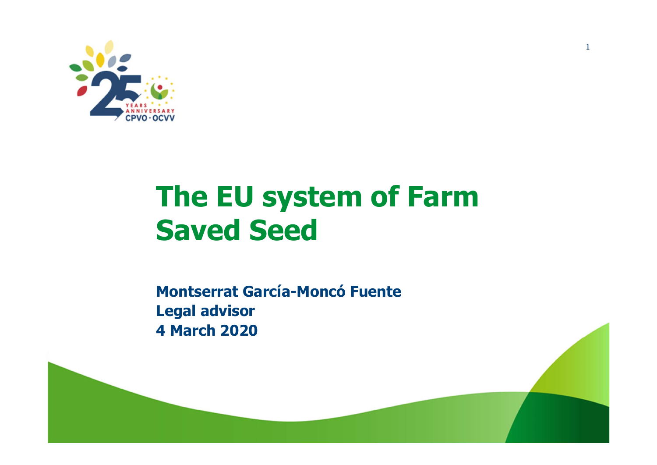

## **The EU system of Farm Saved Seed**

**Montserrat García-Moncó Fuente Legal advisor 4 March 2020**

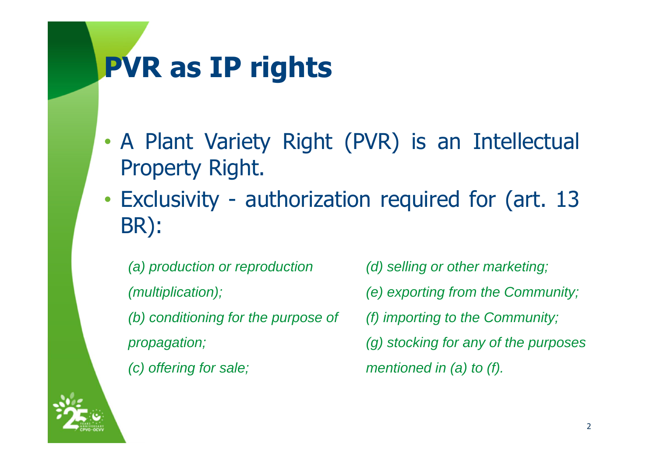# **PVR as IP rights**

- • A Plant Variety Right (PVR) is an Intellectual Property Right.
- • Exclusivity - authorization required for (art. 13 BR):

*(a) production or reproduction (multiplication); (b) conditioning for the purpose of propagation; (c) offering for sale;*

*(d) selling or other marketing; (e) exporting from the Community; (f) importing to the Community; (g) stocking for any of the purposes mentioned in (a) to (f).*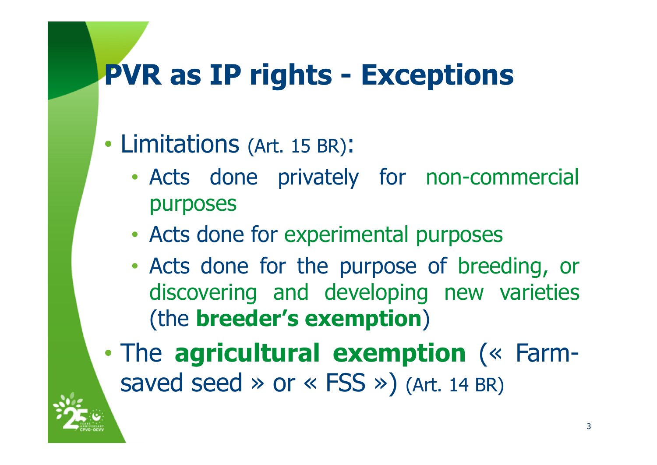## **PVR as IP rights - Exceptions**

#### •Limitations (Art. <sup>15</sup> BR):

- • Acts done privately for non-commercial purposes
- •Acts done for experimental purposes
- • Acts done for the purpose of breeding, or discovering and developing new varieties (the **breeder's exemption** )

• The **agricultural exemption** (« Farmsaved seed  $\gg$  or  $\ll$  FSS  $\gg$ ) (Art. 14 BR)

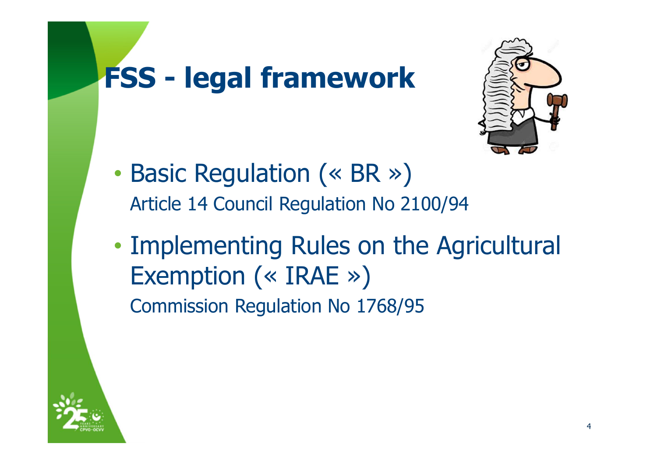# **FSS - legal framework**



- •• Basic Regulation (« BR ») Article 14 Council Regulation No 2100/94
- • Implementing Rules on the Agricultural Exemption (« IRAE ») Commission Regulation No 1768/95

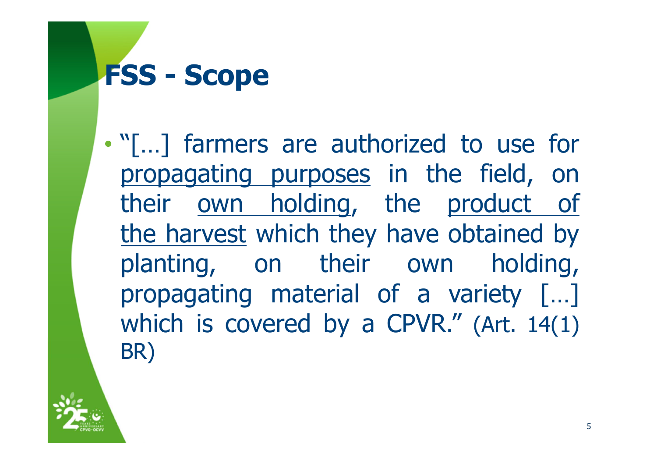## **FSS - Scope**

• "[…] farmers are authorized to use for propagating purposes in the field, on their own holding, the product of the harvest which they have obtained by planting, on their own holding, propagating material of <sup>a</sup> variety […] which is covered by <sup>a</sup> CPVR." (Art. 14(1) BR)

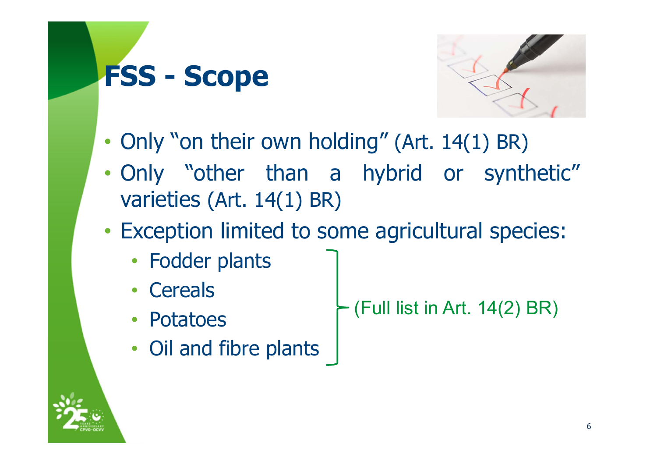# **FSS - Scope**



- •• Only "on their own holding" (Art. 14(1) BR)
- • Only "other than <sup>a</sup> hybrid or synthetic" varieties (Art. 14(1) BR)
- • Exception limited to some agricultural species:
	- Fodder plants
	- Cereals
	- Potatoes
- (Full list in Art. 14(2) BR)
- Oil and fibre plants
	-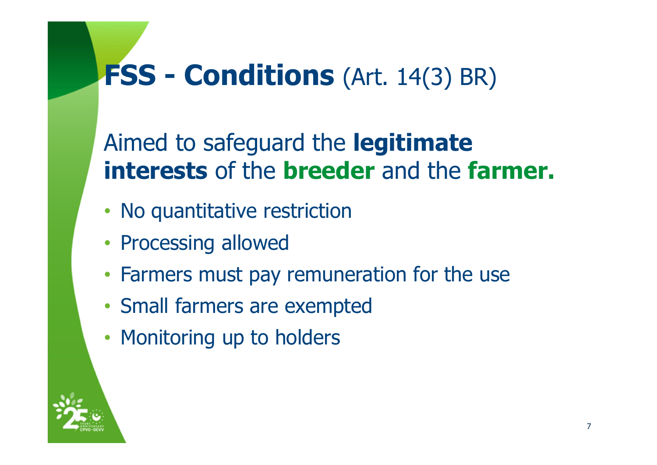## **FSS - Conditions** (Art. 14(3) BR)

Aimed to safeguard the **legitimate interests** of the **breeder** and the **farmer.**

- No quantitative restriction
- Processing allowed
- Farmers must pay remuneration for the use
- Small farmers are exempted
- Monitoring up to holders

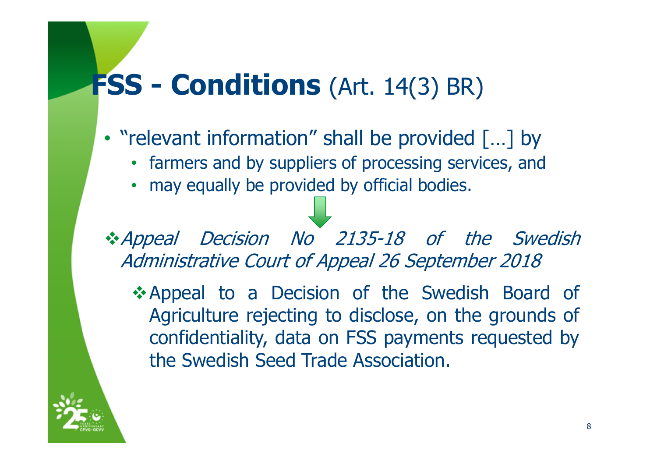## **FSS - Conditions** (Art. 14(3) BR)

- "relevant information" shall be provided […] by
	- farmers and by suppliers of processing services, and
	- may equally be provided by official bodies.

\*Appeal Decision No 2135-18 of the Swedish Administrative Court of Appeal 26 September 2018

**Appeal to a Decision of the Swedish Board of** Agriculture rejecting to disclose, on the grounds of confidentiality, data on FSS payments requested by the Swedish Seed Trade Association.

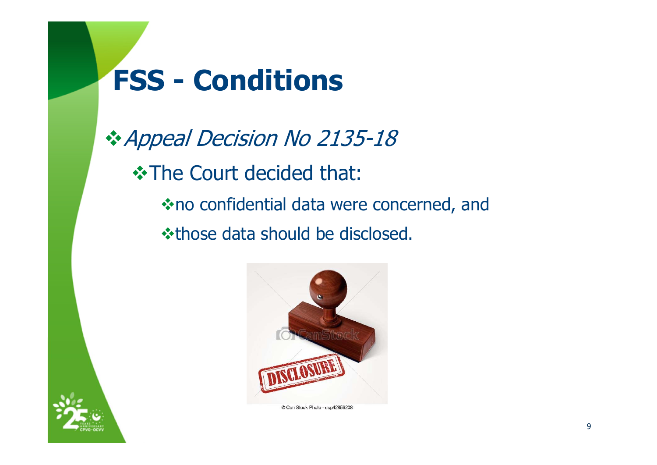# **FSS - Conditions**

**☆ Appeal Decision No 2135-18 In The Court decided that:** no confidential data were concerned, and **\*those data should be disclosed.** 



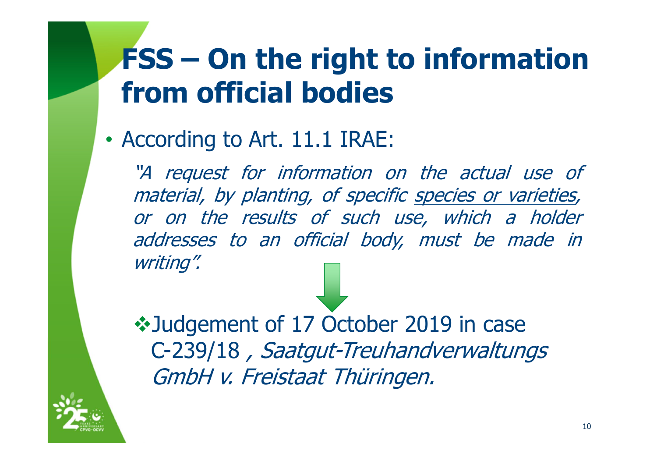# **FSS – On the right to information from official bodies**

•According to Art. 11.1 IRAE:

"A request for information on the actual use of material, by planting, of specific species or varieties, or on the results of such use, which <sup>a</sup> holder addresses to an official body, must be made in writing".

 $\cdot$  **Judgement of 17 October 2019 in case** C-239/18 , Saatgut-Treuhandverwaltungs GmbH v. Freistaat Thüringen.

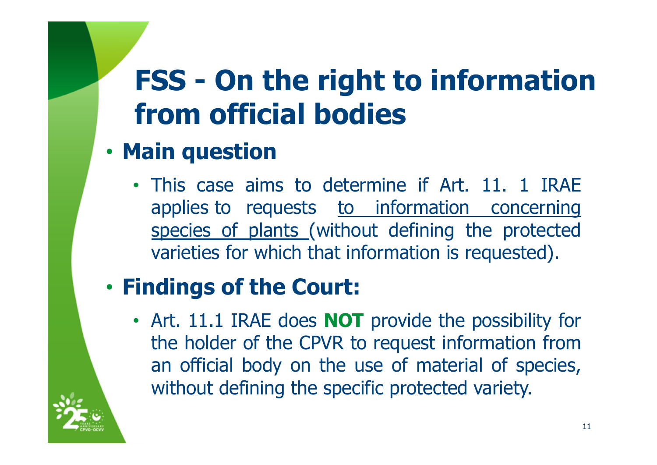# **FSS - On the right to information from official bodies**

#### •**Main question**

• This case aims to determine if Art. 11. 1 IRAE applies to requests to information concerning species of plants (without defining the protected varieties for which that information is requested).

#### •**Findings of the Court:**

• Art. 11.1 IRAE does **NOT** provide the possibility for the holder of the CPVR to request information from an official body on the use of material of species, without defining the specific protected variety.

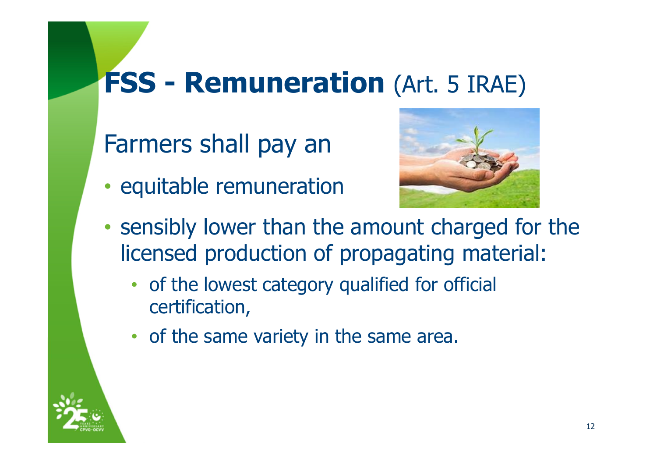## **FSS - Remuneration** (Art. 5 IRAE)

### Farmers shall pay an

•• equitable remuneration



- • sensibly lower than the amount charged for the licensed production of propagating material:
	- of the lowest category qualified for official certification,
	- of the same variety in the same area.

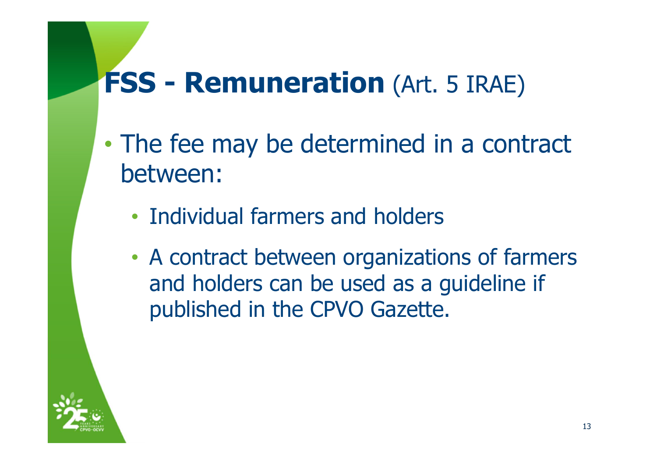## **FSS - Remuneration** (Art. 5 IRAE)

- • The fee may be determined in a contract between:
	- Individual farmers and holders
	- • A contract between organizations of farmers and holders can be used as a guideline if published in the CPVO Gazette.

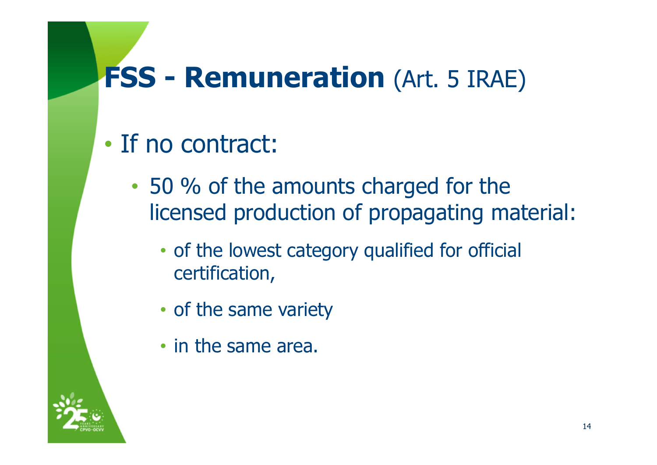## **FSS - Remuneration** (Art. 5 IRAE)

- If no contract:
	- • 50 % of the amounts charged for the licensed production of propagating material:
		- of the lowest category qualified for official certification,
		- of the same variety
		- in the same area.

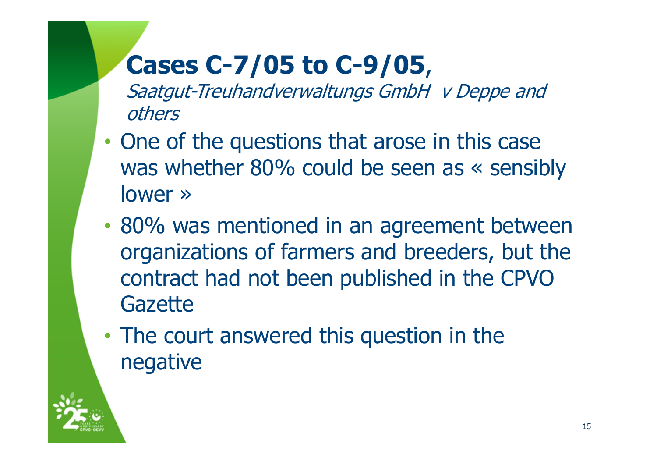## **Cases C-7/05 to C-9/05**,

Saatgut-Treuhandverwaltungs GmbH v Deppe and others

- •• One of the questions that arose in this case was whether 80% could be seen as « sensibly lower »
- • 80% was mentioned in an agreement between organizations of farmers and breeders, but the contract had not been published in the CPVO **Gazette**
- • The court answered this question in the negative

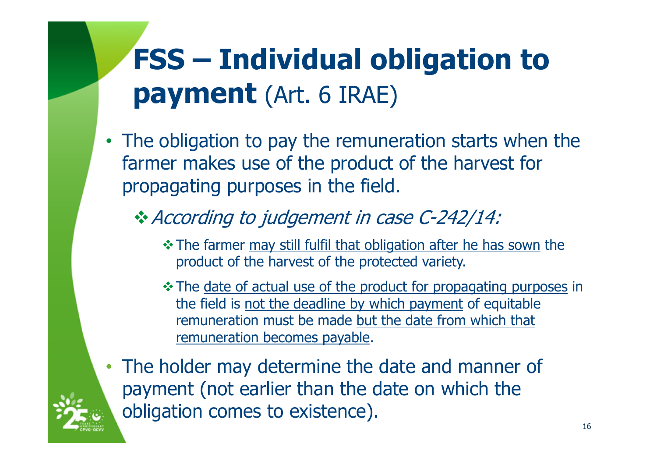# **FSS – Individual obligation to payment** (Art. 6 IRAE)

• The obligation to pay the remuneration starts when the farmer makes use of the product of the harvest for propagating purposes in the field.

### \* According to judgement in case C-242/14:

- The farmer may still fulfil that obligation after he has sown the product of the harvest of the protected variety.
- \* The date of actual use of the product for propagating purposes in the field is not the deadline by which payment of equitable remuneration must be made but the date from which that remuneration becomes payable.
- The holder may determine the date and manner of payment (not earlier than the date on which the obligation comes to existence).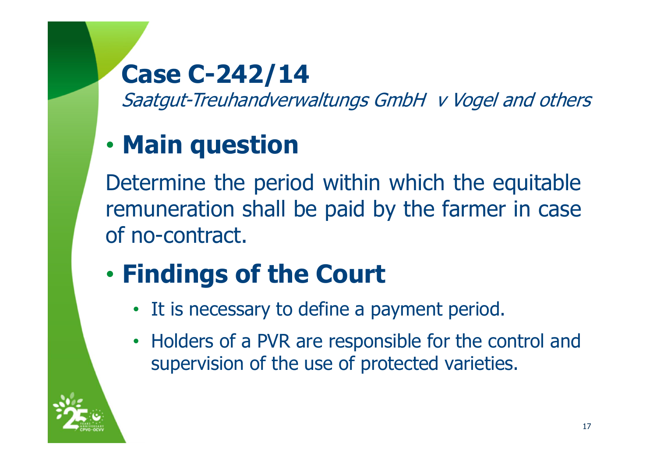## **Case C-242/14**

Saatgut-Treuhandverwaltungs GmbH v Vogel and others

### •**Main question**

Determine the period within which the equitable remuneration shall be paid by the farmer in case of no-contract.

### •**Findings of the Court**

- It is necessary to define <sup>a</sup> payment period.
- Holders of <sup>a</sup> PVR are responsible for the control and supervision of the use of protected varieties.

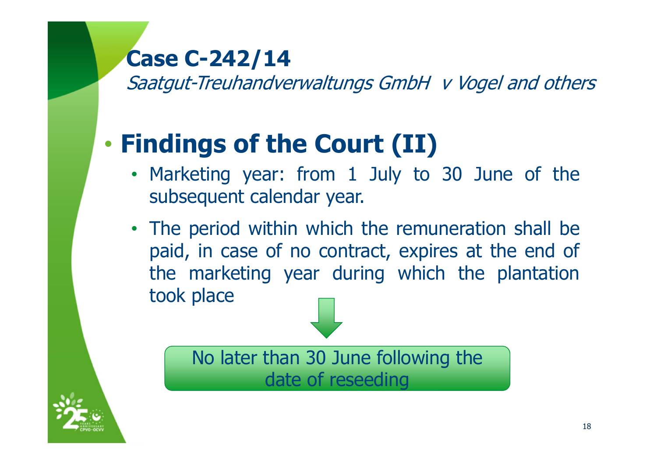### **Case C-242/14**

Saatgut-Treuhandverwaltungs GmbH v Vogel and others

### •**Findings of the Court (II)**

- Marketing year: from 1 July to 30 June of the subsequent calendar year.
- The period within which the remuneration shall be paid, in case of no contract, expires at the end of the marketing year during which the plantation took place

No later than 30 June following the date of reseeding

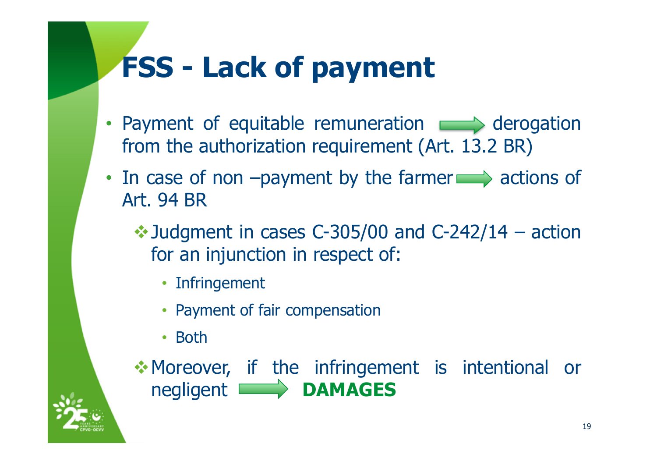# **FSS - Lack of payment**

- Payment of equitable remuneration  $\implies$  derogation from the authorization requirement (Art. 13.2 BR)
- In case of non  $-pa$  yment by the farmer  $\Longrightarrow$  actions of Art. 94 BR
	- $\cdot$  Judgment in cases C-305/00 and C-242/14 action for an injunction in respect of:
		- Infringement
		- Payment of fair compensation
		- Both

Moreover, if the infringement is intentional or negligent **DAMAGES**